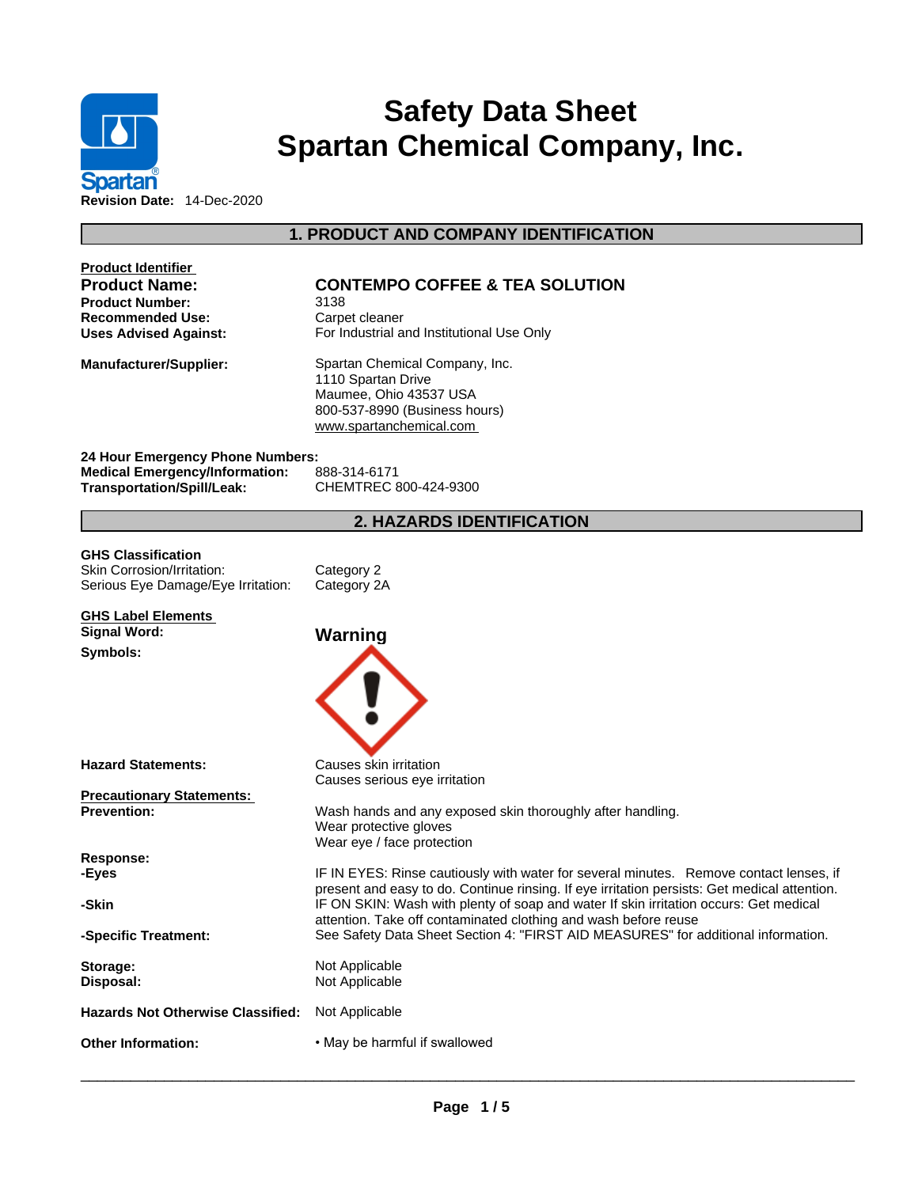

# **Safety Data Sheet Spartan Chemical Company, Inc.**

## **1. PRODUCT AND COMPANY IDENTIFICATION**

| <b>Product Identifier</b><br><b>Product Name:</b><br>Product Number:<br>Recommended Use:<br><b>Uses Advised Against:</b> | <b>CONTEMPO COFFEE &amp; TEA SOLUTION</b><br>3138<br>Carpet cleaner<br>For Industrial and Institutional Use Only                                                                                                                                                                |
|--------------------------------------------------------------------------------------------------------------------------|---------------------------------------------------------------------------------------------------------------------------------------------------------------------------------------------------------------------------------------------------------------------------------|
| <b>Manufacturer/Supplier:</b>                                                                                            | Spartan Chemical Company, Inc.<br>1110 Spartan Drive<br>Maumee, Ohio 43537 USA<br>800-537-8990 (Business hours)<br>www.spartanchemical.com                                                                                                                                      |
| 24 Hour Emergency Phone Numbers:                                                                                         |                                                                                                                                                                                                                                                                                 |
| <b>Medical Emergency/Information:</b><br><b>Transportation/Spill/Leak:</b>                                               | 888-314-6171<br>CHEMTREC 800-424-9300                                                                                                                                                                                                                                           |
|                                                                                                                          | <b>2. HAZARDS IDENTIFICATION</b>                                                                                                                                                                                                                                                |
| GHS Classification<br>Skin Corrosion/Irritation:<br>Serious Eye Damage/Eye Irritation:                                   | Category 2<br>Category 2A                                                                                                                                                                                                                                                       |
| <b>GHS Label Elements</b><br><b>Signal Word:</b>                                                                         | Warning                                                                                                                                                                                                                                                                         |
| Symbols:                                                                                                                 |                                                                                                                                                                                                                                                                                 |
| <b>Hazard Statements:</b>                                                                                                | Causes skin irritation<br>Causes serious eye irritation                                                                                                                                                                                                                         |
| <b>Precautionary Statements:</b><br><b>Prevention:</b>                                                                   | Wash hands and any exposed skin thoroughly after handling.<br>Wear protective gloves<br>Wear eye / face protection                                                                                                                                                              |
| <b>Response:</b>                                                                                                         |                                                                                                                                                                                                                                                                                 |
| -Eyes<br>-Skin                                                                                                           | IF IN EYES: Rinse cautiously with water for several minutes. Remove contact lenses, if<br>present and easy to do. Continue rinsing. If eye irritation persists: Get medical attention.<br>IF ON SKIN: Wash with plenty of soap and water If skin irritation occurs: Get medical |
| -Specific Treatment:                                                                                                     | attention. Take off contaminated clothing and wash before reuse<br>See Safety Data Sheet Section 4: "FIRST AID MEASURES" for additional information.                                                                                                                            |
| Storage:<br>Disposal:                                                                                                    | Not Applicable<br>Not Applicable                                                                                                                                                                                                                                                |
| <b>Hazards Not Otherwise Classified:</b>                                                                                 | Not Applicable                                                                                                                                                                                                                                                                  |
| <b>Other Information:</b>                                                                                                | • May be harmful if swallowed                                                                                                                                                                                                                                                   |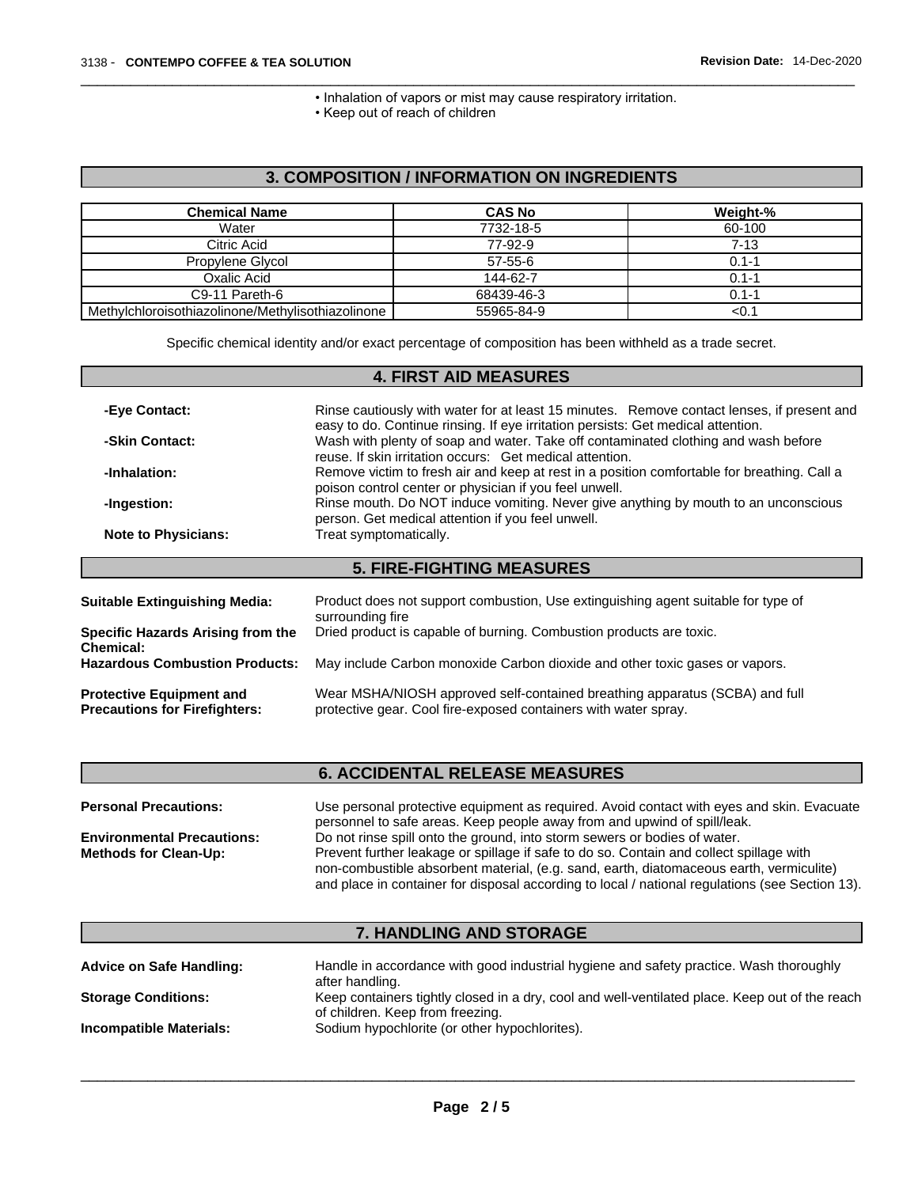• Inhalation of vapors or mist may cause respiratory irritation.

• Keep out of reach of children

### **3. COMPOSITION / INFORMATION ON INGREDIENTS**

| <b>Chemical Name</b>                              | <b>CAS No</b> | Weight-%  |
|---------------------------------------------------|---------------|-----------|
| Water                                             | 7732-18-5     | 60-100    |
| Citric Acid                                       | 77-92-9       | $7 - 13$  |
| Propylene Glycol                                  | $57 - 55 - 6$ | $0.1 - 1$ |
| Oxalic Acid                                       | 144-62-7      | $0.1 - 1$ |
| C9-11 Pareth-6                                    | 68439-46-3    | $0.1 - 1$ |
| Methylchloroisothiazolinone/Methylisothiazolinone | 55965-84-9    | <∪. ີ     |

Specific chemical identity and/or exact percentage of composition has been withheld as a trade secret.

|                                                                         | <b>4. FIRST AID MEASURES</b>                                                                                                                                                   |
|-------------------------------------------------------------------------|--------------------------------------------------------------------------------------------------------------------------------------------------------------------------------|
|                                                                         |                                                                                                                                                                                |
| -Eye Contact:                                                           | Rinse cautiously with water for at least 15 minutes. Remove contact lenses, if present and<br>easy to do. Continue rinsing. If eye irritation persists: Get medical attention. |
| -Skin Contact:                                                          | Wash with plenty of soap and water. Take off contaminated clothing and wash before<br>reuse. If skin irritation occurs: Get medical attention.                                 |
| -Inhalation:                                                            | Remove victim to fresh air and keep at rest in a position comfortable for breathing. Call a<br>poison control center or physician if you feel unwell.                          |
| -Ingestion:                                                             | Rinse mouth. Do NOT induce vomiting. Never give anything by mouth to an unconscious<br>person. Get medical attention if you feel unwell.                                       |
| <b>Note to Physicians:</b>                                              | Treat symptomatically.                                                                                                                                                         |
|                                                                         | <b>5. FIRE-FIGHTING MEASURES</b>                                                                                                                                               |
|                                                                         |                                                                                                                                                                                |
| <b>Suitable Extinguishing Media:</b>                                    | Product does not support combustion, Use extinguishing agent suitable for type of<br>surrounding fire                                                                          |
| <b>Specific Hazards Arising from the</b><br><b>Chemical:</b>            | Dried product is capable of burning. Combustion products are toxic.                                                                                                            |
| <b>Hazardous Combustion Products:</b>                                   | May include Carbon monoxide Carbon dioxide and other toxic gases or vapors.                                                                                                    |
| <b>Protective Equipment and</b><br><b>Precautions for Firefighters:</b> | Wear MSHA/NIOSH approved self-contained breathing apparatus (SCBA) and full<br>protective gear. Cool fire-exposed containers with water spray.                                 |
|                                                                         |                                                                                                                                                                                |

|                                   | <b>6. ACCIDENTAL RELEASE MEASURES</b>                                                                                                                                 |
|-----------------------------------|-----------------------------------------------------------------------------------------------------------------------------------------------------------------------|
| <b>Personal Precautions:</b>      | Use personal protective equipment as required. Avoid contact with eyes and skin. Evacuate<br>personnel to safe areas. Keep people away from and upwind of spill/leak. |
| <b>Environmental Precautions:</b> | Do not rinse spill onto the ground, into storm sewers or bodies of water.                                                                                             |
| <b>Methods for Clean-Up:</b>      | Prevent further leakage or spillage if safe to do so. Contain and collect spillage with                                                                               |
|                                   | non-combustible absorbent material, (e.g. sand, earth, diatomaceous earth, vermiculite)                                                                               |
|                                   | and place in container for disposal according to local / national regulations (see Section 13).                                                                       |

### **7. HANDLING AND STORAGE**

| <b>Advice on Safe Handling:</b> | Handle in accordance with good industrial hygiene and safety practice. Wash thoroughly<br>after handling.                          |
|---------------------------------|------------------------------------------------------------------------------------------------------------------------------------|
| <b>Storage Conditions:</b>      | Keep containers tightly closed in a dry, cool and well-ventilated place. Keep out of the reach<br>of children. Keep from freezing. |
| Incompatible Materials:         | Sodium hypochlorite (or other hypochlorites).                                                                                      |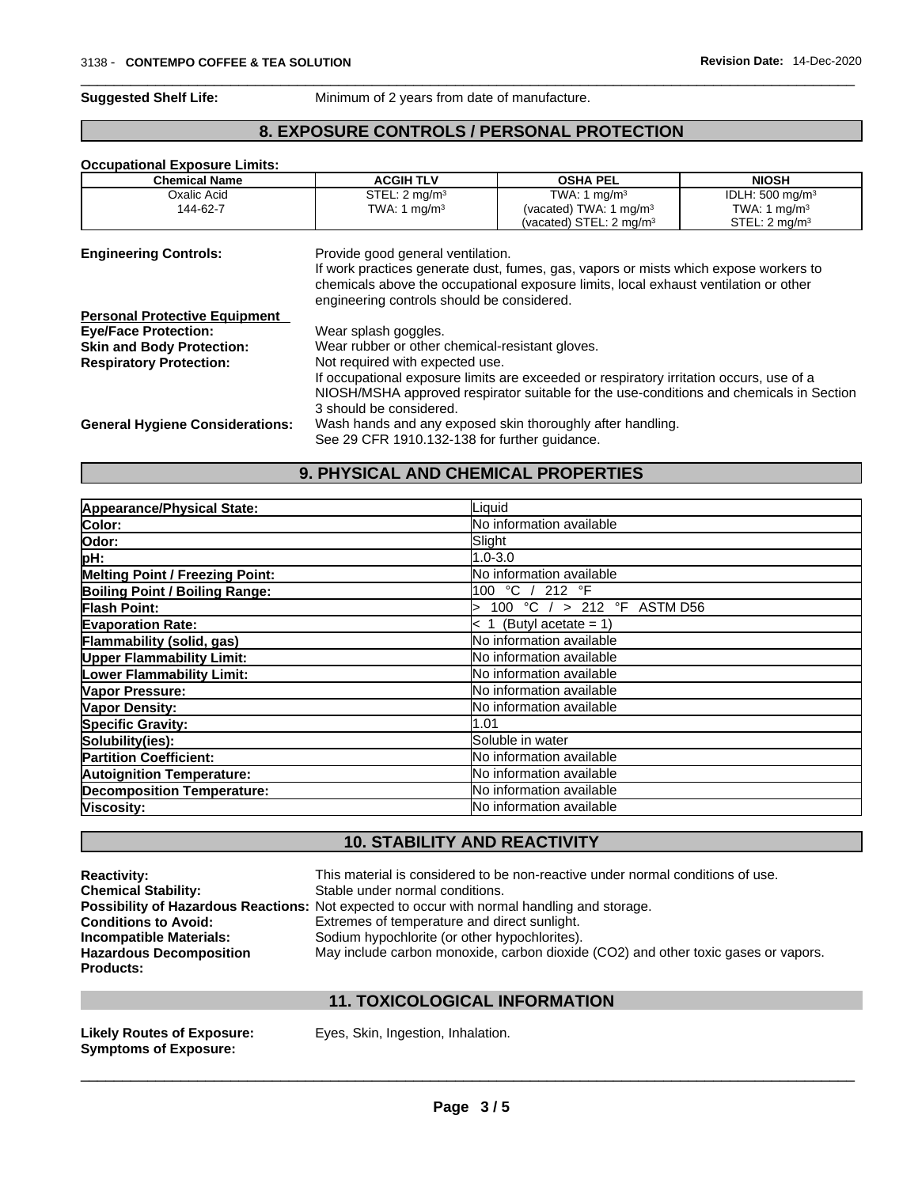**Suggested Shelf Life:** Minimum of 2 years from date of manufacture.

#### **8. EXPOSURE CONTROLS / PERSONAL PROTECTION**

#### **Occupational Exposure Limits:**

| <b>Chemical Name</b>                   | <b>ACGIH TLV</b>                                | <b>OSHA PEL</b>                                                                         | <b>NIOSH</b>                |  |  |  |
|----------------------------------------|-------------------------------------------------|-----------------------------------------------------------------------------------------|-----------------------------|--|--|--|
| Oxalic Acid                            | STEL: $2 \text{ mq/m}^3$                        | TWA: 1 $mg/m3$                                                                          | IDLH: 500 mg/m <sup>3</sup> |  |  |  |
| 144-62-7                               | TWA: 1 mg/m <sup>3</sup>                        | (vacated) TWA: 1 mg/m <sup>3</sup>                                                      | TWA: 1 $mq/m3$              |  |  |  |
|                                        |                                                 | (vacated) STEL: 2 mg/m <sup>3</sup>                                                     | STEL: 2 mg/m <sup>3</sup>   |  |  |  |
| <b>Engineering Controls:</b>           | Provide good general ventilation.               |                                                                                         |                             |  |  |  |
|                                        |                                                 | If work practices generate dust, fumes, gas, vapors or mists which expose workers to    |                             |  |  |  |
|                                        |                                                 | chemicals above the occupational exposure limits, local exhaust ventilation or other    |                             |  |  |  |
|                                        | engineering controls should be considered.      |                                                                                         |                             |  |  |  |
| <b>Personal Protective Equipment</b>   |                                                 |                                                                                         |                             |  |  |  |
| <b>Eye/Face Protection:</b>            | Wear splash goggles.                            |                                                                                         |                             |  |  |  |
| <b>Skin and Body Protection:</b>       | Wear rubber or other chemical-resistant gloves. |                                                                                         |                             |  |  |  |
| <b>Respiratory Protection:</b>         | Not required with expected use.                 |                                                                                         |                             |  |  |  |
|                                        |                                                 | If occupational exposure limits are exceeded or respiratory irritation occurs, use of a |                             |  |  |  |
|                                        |                                                 | NIOSH/MSHA approved respirator suitable for the use-conditions and chemicals in Section |                             |  |  |  |
|                                        | 3 should be considered.                         |                                                                                         |                             |  |  |  |
| <b>General Hygiene Considerations:</b> |                                                 | Wash hands and any exposed skin thoroughly after handling.                              |                             |  |  |  |
|                                        | See 29 CFR 1910.132-138 for further guidance.   |                                                                                         |                             |  |  |  |
|                                        |                                                 |                                                                                         |                             |  |  |  |

#### **9. PHYSICAL AND CHEMICAL PROPERTIES**

| Appearance/Physical State:             | Liquid                          |
|----------------------------------------|---------------------------------|
| Color:                                 | No information available        |
| Odor:                                  | Slight                          |
| pH:                                    | $1.0 - 3.0$                     |
| <b>Melting Point / Freezing Point:</b> | lNo information available       |
| <b>Boiling Point / Boiling Range:</b>  | 100 °C / 212 °F                 |
| Flash Point:                           | 100 °C / > 212 °F ASTM D56      |
| <b>Evaporation Rate:</b>               | $< 1$ (Butyl acetate = 1)       |
| Flammability (solid, gas)              | No information available        |
| <b>Upper Flammability Limit:</b>       | No information available        |
| Lower Flammability Limit:              | No information available        |
| Vapor Pressure:                        | lNo information available       |
| Vapor Density:                         | No information available        |
| <b>Specific Gravity:</b>               | 1.01                            |
| Solubility(ies):                       | Soluble in water                |
| <b>Partition Coefficient:</b>          | No information available        |
| <b>Autoignition Temperature:</b>       | <b>No information available</b> |
| <b>Decomposition Temperature:</b>      | <b>No information available</b> |
| Viscosity:                             | No information available        |

### **10. STABILITY AND REACTIVITY**

| <b>Reactivity:</b>             | This material is considered to be non-reactive under normal conditions of use.                     |
|--------------------------------|----------------------------------------------------------------------------------------------------|
| <b>Chemical Stability:</b>     | Stable under normal conditions.                                                                    |
|                                | <b>Possibility of Hazardous Reactions:</b> Not expected to occur with normal handling and storage. |
| <b>Conditions to Avoid:</b>    | Extremes of temperature and direct sunlight.                                                       |
| Incompatible Materials:        | Sodium hypochlorite (or other hypochlorites).                                                      |
| <b>Hazardous Decomposition</b> | May include carbon monoxide, carbon dioxide (CO2) and other toxic gases or vapors.                 |
| <b>Products:</b>               |                                                                                                    |
|                                |                                                                                                    |

#### **11. TOXICOLOGICAL INFORMATION**

**Symptoms of Exposure:** 

**Likely Routes of Exposure:** Eyes, Skin, Ingestion, Inhalation.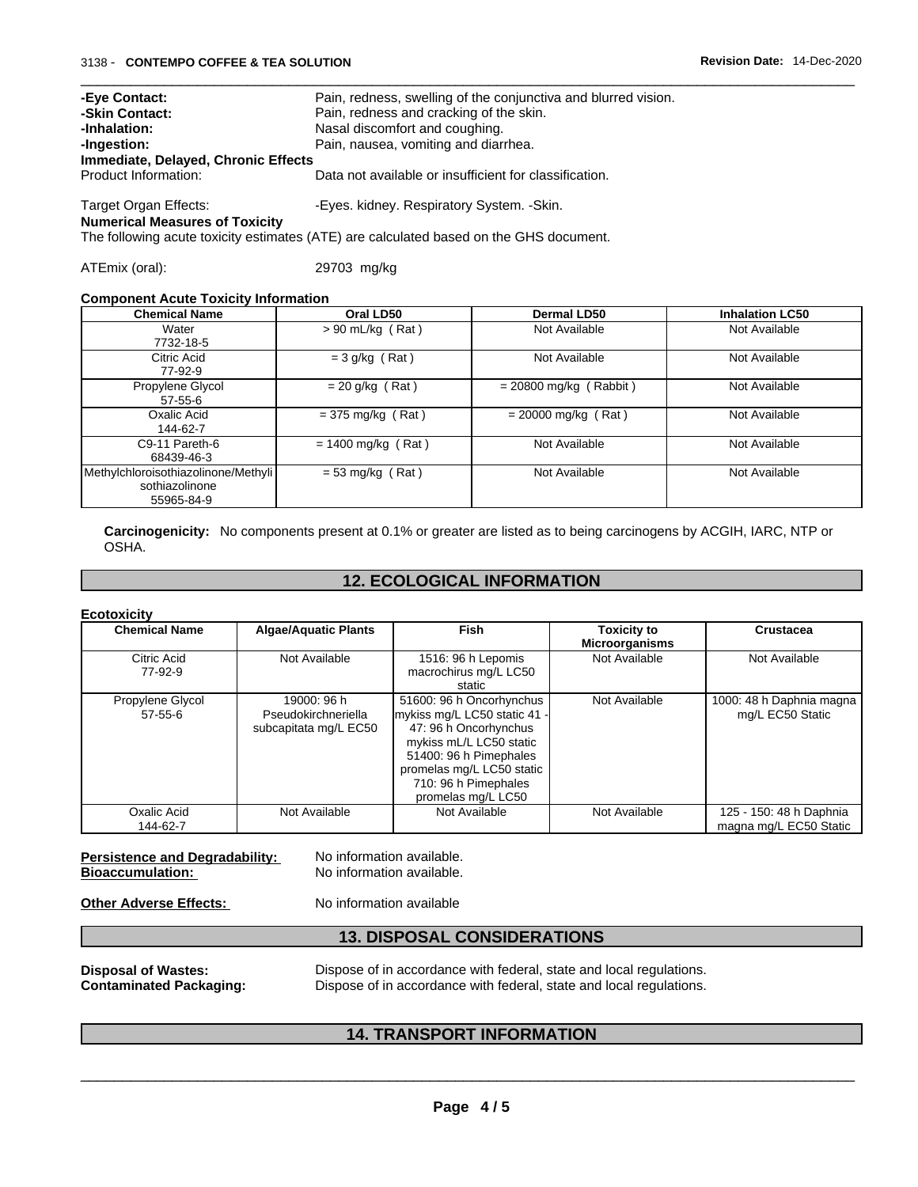| -Eye Contact:<br>-Skin Contact:       | Pain, redness, swelling of the conjunctiva and blurred vision.                           |
|---------------------------------------|------------------------------------------------------------------------------------------|
| -Inhalation:                          | Pain, redness and cracking of the skin.<br>Nasal discomfort and coughing.                |
| -Ingestion:                           | Pain, nausea, vomiting and diarrhea.                                                     |
| Immediate, Delayed, Chronic Effects   |                                                                                          |
| Product Information:                  | Data not available or insufficient for classification.                                   |
| Target Organ Effects:                 | -Eyes. kidney. Respiratory System. -Skin.                                                |
| <b>Numerical Measures of Toxicity</b> |                                                                                          |
|                                       | The following partie to visit restimates (ATE) are solowleted began as the OUO degreeset |

The following acute toxicity estimates (ATE) are calculated based on the GHS document.

ATEmix (oral): 29703 mg/kg

#### **Component Acute Toxicity Information**

| <b>Chemical Name</b>                | Oral LD50            | Dermal LD50              | <b>Inhalation LC50</b> |
|-------------------------------------|----------------------|--------------------------|------------------------|
| Water                               | $> 90$ mL/kg (Rat)   | Not Available            | Not Available          |
| 7732-18-5                           |                      |                          |                        |
| Citric Acid                         | $=$ 3 g/kg (Rat)     | Not Available            | Not Available          |
| 77-92-9                             |                      |                          |                        |
| Propylene Glycol                    | $= 20$ g/kg (Rat)    | $= 20800$ mg/kg (Rabbit) | Not Available          |
| $57 - 55 - 6$                       |                      |                          |                        |
| Oxalic Acid                         | $=$ 375 mg/kg (Rat)  | $= 20000$ mg/kg (Rat)    | Not Available          |
| 144-62-7                            |                      |                          |                        |
| C9-11 Pareth-6                      | $= 1400$ mg/kg (Rat) | Not Available            | Not Available          |
| 68439-46-3                          |                      |                          |                        |
| Methylchloroisothiazolinone/Methyli | $= 53$ mg/kg (Rat)   | Not Available            | Not Available          |
| sothiazolinone                      |                      |                          |                        |
| 55965-84-9                          |                      |                          |                        |

**Carcinogenicity:** No components present at 0.1% or greater arelisted as to being carcinogens by ACGIH, IARC, NTP or OSHA.

### **12. ECOLOGICAL INFORMATION**

**Ecotoxicity** 

| <b>Chemical Name</b>              | <b>Algae/Aquatic Plants</b>                                 | Fish                                                                                                                                                                                                              | <b>Toxicity to</b>    | <b>Crustacea</b>                                  |
|-----------------------------------|-------------------------------------------------------------|-------------------------------------------------------------------------------------------------------------------------------------------------------------------------------------------------------------------|-----------------------|---------------------------------------------------|
|                                   |                                                             |                                                                                                                                                                                                                   | <b>Microorganisms</b> |                                                   |
| Citric Acid<br>77-92-9            | Not Available                                               | 1516: 96 h Lepomis<br>macrochirus mg/L LC50                                                                                                                                                                       | Not Available         | Not Available                                     |
|                                   |                                                             | static                                                                                                                                                                                                            |                       |                                                   |
| Propylene Glycol<br>$57 - 55 - 6$ | 19000: 96 h<br>Pseudokirchneriella<br>subcapitata mg/L EC50 | 51600: 96 h Oncorhynchus<br>mykiss mg/L LC50 static 41 -<br>47: 96 h Oncorhynchus<br>mykiss mL/L LC50 static<br>51400: 96 h Pimephales<br>promelas mg/L LC50 static<br>710: 96 h Pimephales<br>promelas mg/L LC50 | Not Available         | 1000: 48 h Daphnia magna<br>mg/L EC50 Static      |
| Oxalic Acid<br>144-62-7           | Not Available                                               | Not Available                                                                                                                                                                                                     | Not Available         | 125 - 150: 48 h Daphnia<br>magna mg/L EC50 Static |

**Persistence and Degradability:** No information available.<br>**Bioaccumulation:** No information available. **Bioaccumulation:** 

**Other Adverse Effects:** No information available

#### **13. DISPOSAL CONSIDERATIONS**

**Disposal of Wastes:** Dispose of in accordance with federal, state and local regulations. **Contaminated Packaging:** Dispose of in accordance with federal, state and local regulations.

#### **14. TRANSPORT INFORMATION**